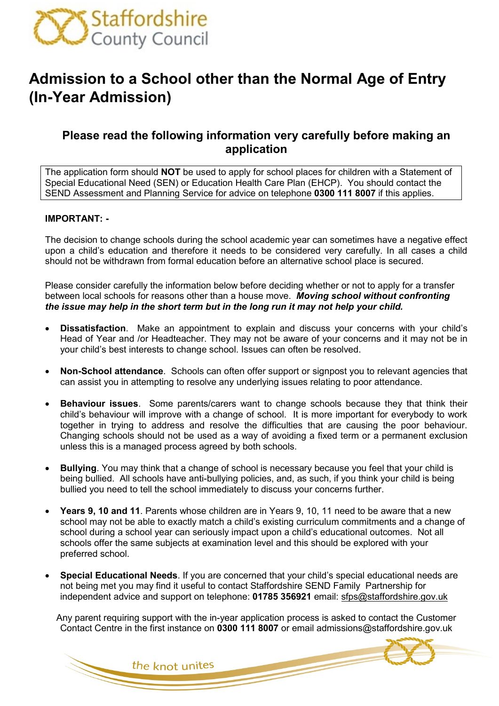

# **Admission to a School other than the Normal Age of Entry (In-Year Admission)**

# **Please read the following information very carefully before making an application**

The application form should **NOT** be used to apply for school places for children with a Statement of Special Educational Need (SEN) or Education Health Care Plan (EHCP). You should contact the SEND Assessment and Planning Service for advice on telephone **0300 111 8007** if this applies.

### **IMPORTANT: -**

The decision to change schools during the school academic year can sometimes have a negative effect upon a child's education and therefore it needs to be considered very carefully. In all cases a child should not be withdrawn from formal education before an alternative school place is secured.

Please consider carefully the information below before deciding whether or not to apply for a transfer between local schools for reasons other than a house move. *Moving school without confronting the issue may help in the short term but in the long run it may not help your child.*

- **Dissatisfaction**. Make an appointment to explain and discuss your concerns with your child's Head of Year and /or Headteacher. They may not be aware of your concerns and it may not be in your child's best interests to change school. Issues can often be resolved.
- **Non-School attendance**. Schools can often offer support or signpost you to relevant agencies that can assist you in attempting to resolve any underlying issues relating to poor attendance.
- **Behaviour issues**. Some parents/carers want to change schools because they that think their child's behaviour will improve with a change of school. It is more important for everybody to work together in trying to address and resolve the difficulties that are causing the poor behaviour. Changing schools should not be used as a way of avoiding a fixed term or a permanent exclusion unless this is a managed process agreed by both schools.
- **Bullying**. You may think that a change of school is necessary because you feel that your child is being bullied. All schools have anti-bullying policies, and, as such, if you think your child is being bullied you need to tell the school immediately to discuss your concerns further.
- **Years 9, 10 and 11**. Parents whose children are in Years 9, 10, 11 need to be aware that a new school may not be able to exactly match a child's existing curriculum commitments and a change of school during a school year can seriously impact upon a child's educational outcomes. Not all schools offer the same subjects at examination level and this should be explored with your preferred school.
- **Special Educational Needs**. If you are concerned that your child's special educational needs are not being met you may find it useful to contact Staffordshire SEND Family Partnership for independent advice and support on telephone: **01785 356921** email: [sfps@staffordshire.gov.uk](mailto:sfps@staffordshire.gov.uk)

Any parent requiring support with the in-year application process is asked to contact the Customer Contact Centre in the first instance on **0300 111 8007** or email admissions@staffordshire.gov.uk

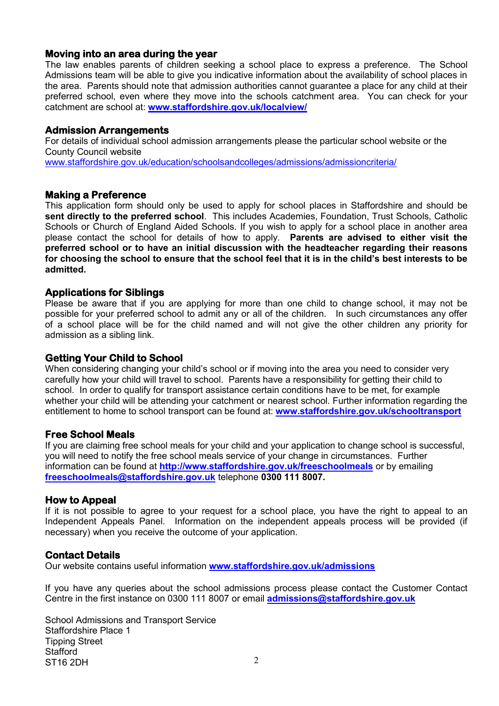### **Moving into an area during the year**

The law enables parents of children seeking a school place to express a preference. The School Admissions team will be able to give you indicative information about the availability of school places in the area. Parents should note that admission authorities cannot guarantee a place for any child at their preferred school, even where they move into the schools catchment area. You can check for your catchment are school at: **[www.staffordshire.gov.uk/localview/](http://www.staffordshire.gov.uk/localview/)**

### **Admission Arrangements**

For details of individual school admission arrangements please the particular school website or the County Council website [www.staffordshire.gov.uk/education/schoolsandcolleges/admissions/admissioncriteria/](http://www.staffordshire.gov.uk/education/schoolsandcolleges/admissions/admissioncriteria/)

### **Making a Preference**

This application form should only be used to apply for school places in Staffordshire and should be **sent directly to the preferred school**. This includes Academies, Foundation, Trust Schools, Catholic Schools or Church of England Aided Schools. If you wish to apply for a school place in another area please contact the school for details of how to apply. **Parents are advised to either visit the preferred school or to have an initial discussion with the headteacher regarding their reasons for choosing the school to ensure that the school feel that it is in the child's best interests to be admitted.**

### **Applications for Siblings**

Please be aware that if you are applying for more than one child to change school, it may not be possible for your preferred school to admit any or all of the children. In such circumstances any offer of a school place will be for the child named and will not give the other children any priority for admission as a sibling link.

### **Getting Your Child to School**

When considering changing your child's school or if moving into the area you need to consider very carefully how your child will travel to school. Parents have a responsibility for getting their child to school. In order to qualify for transport assistance certain conditions have to be met, for example whether your child will be attending your catchment or nearest school. Further information regarding the entitlement to home to school transport can be found at: **[www.staffordshire.gov.uk/schooltransport](http://www.staffordshire.gov.uk/schooltransport)**

### **Free School Meals**

If you are claiming free school meals for your child and your application to change school is successful, you will need to notify the free school meals service of your change in circumstances. Further information can be found at **<http://www.staffordshire.gov.uk/freeschoolmeals>** or by emailing **[freeschoolmeals@staffordshire.gov.uk](mailto:freeschoolmeals@staffordshire.gov.uk)** telephone **0300 111 8007.**

### **How to Appeal**

If it is not possible to agree to your request for a school place, you have the right to appeal to an Independent Appeals Panel. Information on the independent appeals process will be provided (if necessary) when you receive the outcome of your application.

### **Contact Details**

Our website contains useful information **[www.staffordshire.gov.uk/admissions](http://www.staffordshire.gov.uk/admissions)**

If you have any queries about the school admissions process please contact the Customer Contact Centre in the first instance on 0300 111 8007 or email **[admissions@staffordshire.gov.uk](mailto:admissions@staffordshire.gov.uk)**

School Admissions and Transport Service Staffordshire Place 1 Tipping Street **Stafford** ST16 2DH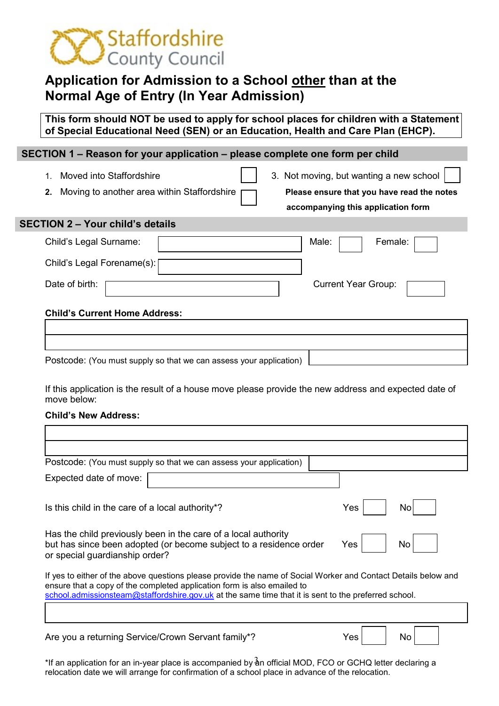

# **Application for Admission to a School other than at the Normal Age of Entry (In Year Admission)**

**This form should NOT be used to apply for school places for children with a Statement of Special Educational Need (SEN) or an Education, Health and Care Plan (EHCP).** 

# **SECTION 1 – Reason for your application – please complete one form per child** 1. Moved into Staffordshire **3.** Not moving, but wanting a new school **2.** Moving to another area within Staffordshire **Please ensure that you have read the notes accompanying this application form SECTION 2 – Your child's details** Child's Legal Surname:  $\begin{array}{|c|c|c|c|c|c|} \hline \end{array}$  Male:  $\begin{array}{|c|c|c|c|c|c|} \hline \end{array}$  Female: Child's Legal Forename(s): Date of birth: <u>Current Year Group:</u> Current Year Group: **Child's Current Home Address:**

Postcode: (You must supply so that we can assess your application)

If this application is the result of a house move please provide the new address and expected date of move below:

#### **Child's New Address:**

| Postcode: (You must supply so that we can assess your application)                                                                                                                                                                                                                                |            |  |  |
|---------------------------------------------------------------------------------------------------------------------------------------------------------------------------------------------------------------------------------------------------------------------------------------------------|------------|--|--|
| Expected date of move:                                                                                                                                                                                                                                                                            |            |  |  |
| Is this child in the care of a local authority <sup>*?</sup>                                                                                                                                                                                                                                      | Yes<br>No. |  |  |
| Has the child previously been in the care of a local authority<br>but has since been adopted (or become subject to a residence order<br>or special guardianship order?                                                                                                                            | Yes<br>No. |  |  |
| If yes to either of the above questions please provide the name of Social Worker and Contact Details below and<br>ensure that a copy of the completed application form is also emailed to<br>school.admissionsteam@staffordshire.gov.uk at the same time that it is sent to the preferred school. |            |  |  |
|                                                                                                                                                                                                                                                                                                   |            |  |  |
| Are you a returning Service/Crown Servant family*?                                                                                                                                                                                                                                                | Yes<br>No  |  |  |

\*If an application for an in-year place is accompanied by  $\rm \frac{3}{4}$ n official MOD, FCO or GCHQ letter declaring a relocation date we will arrange for confirmation of a school place in advance of the relocation.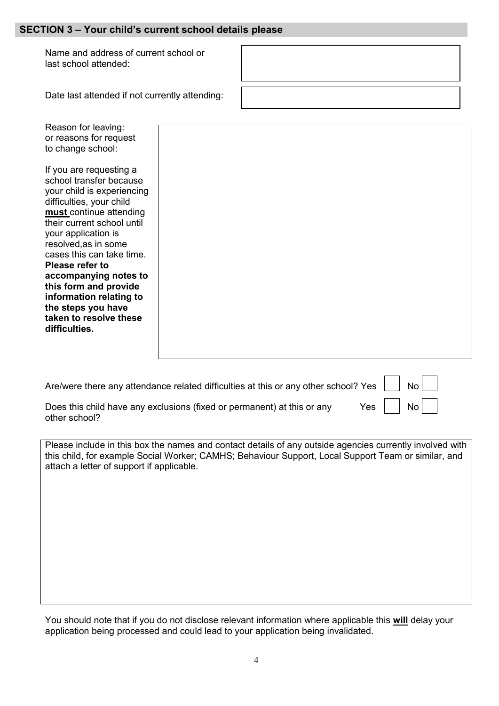### **SECTION 3 – Your child's current school details please**

Name and address of current school or last school attended:

| Date last attended if not currently attending:                                                                                                                                                                                                                                                                                                                                                                                                                                           |  |
|------------------------------------------------------------------------------------------------------------------------------------------------------------------------------------------------------------------------------------------------------------------------------------------------------------------------------------------------------------------------------------------------------------------------------------------------------------------------------------------|--|
| Reason for leaving:<br>or reasons for request<br>to change school:<br>If you are requesting a<br>school transfer because<br>your child is experiencing<br>difficulties, your child<br>must continue attending<br>their current school until<br>your application is<br>resolved, as in some<br>cases this can take time.<br>Please refer to<br>accompanying notes to<br>this form and provide<br>information relating to<br>the steps you have<br>taken to resolve these<br>difficulties. |  |
|                                                                                                                                                                                                                                                                                                                                                                                                                                                                                          |  |

Are/were there any attendance related difficulties at this or any other school? Yes

| No |  |
|----|--|
|    |  |
| No |  |

Does this child have any exclusions (fixed or permanent) at this or any Yes other school?

Please include in this box the names and contact details of any outside agencies currently involved with this child, for example Social Worker; CAMHS; Behaviour Support, Local Support Team or similar, and attach a letter of support if applicable.

You should note that if you do not disclose relevant information where applicable this **will** delay your application being processed and could lead to your application being invalidated.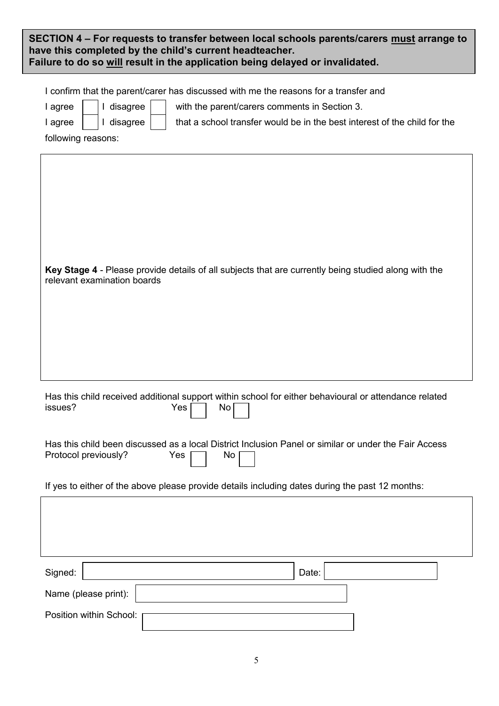| SECTION 4 – For requests to transfer between local schools parents/carers must arrange to<br>have this completed by the child's current headteacher.<br>Failure to do so will result in the application being delayed or invalidated.                                                      |  |  |
|--------------------------------------------------------------------------------------------------------------------------------------------------------------------------------------------------------------------------------------------------------------------------------------------|--|--|
| I confirm that the parent/carer has discussed with me the reasons for a transfer and<br>I disagree<br>I agree<br>with the parent/carers comments in Section 3.<br>I disagree<br>that a school transfer would be in the best interest of the child for the<br>I agree<br>following reasons: |  |  |
| Key Stage 4 - Please provide details of all subjects that are currently being studied along with the<br>relevant examination boards                                                                                                                                                        |  |  |
| Has this child received additional support within school for either behavioural or attendance related<br>issues?<br>Yes<br>No                                                                                                                                                              |  |  |
| Has this child been discussed as a local District Inclusion Panel or similar or under the Fair Access<br>Protocol previously?<br>Yes<br>No.                                                                                                                                                |  |  |
| If yes to either of the above please provide details including dates during the past 12 months:                                                                                                                                                                                            |  |  |
|                                                                                                                                                                                                                                                                                            |  |  |
| Signed:<br>Date:                                                                                                                                                                                                                                                                           |  |  |
| Name (please print):                                                                                                                                                                                                                                                                       |  |  |
| Position within School:                                                                                                                                                                                                                                                                    |  |  |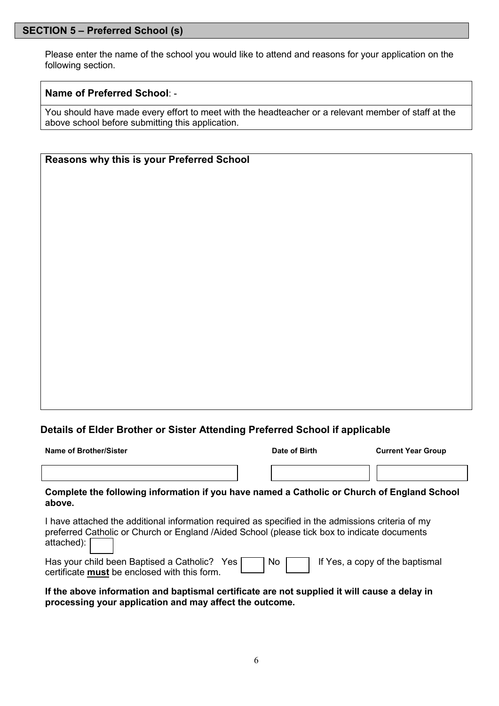## **SECTION 5 – Preferred School (s)**

Please enter the name of the school you would like to attend and reasons for your application on the following section.

### **Name of Preferred School**: -

You should have made every effort to meet with the headteacher or a relevant member of staff at the above school before submitting this application.

### **Reasons why this is your Preferred School**

## **Details of Elder Brother or Sister Attending Preferred School if applicable**

| Name of Brother/Sister                                                                                                                                                                                          | Date of Birth | <b>Current Year Group</b>       |
|-----------------------------------------------------------------------------------------------------------------------------------------------------------------------------------------------------------------|---------------|---------------------------------|
|                                                                                                                                                                                                                 |               |                                 |
| Complete the following information if you have named a Catholic or Church of England School<br>above.                                                                                                           |               |                                 |
| I have attached the additional information required as specified in the admissions criteria of my<br>preferred Catholic or Church or England /Aided School (please tick box to indicate documents<br>attached): |               |                                 |
| Has your child been Baptised a Catholic? Yes<br>certificate must be enclosed with this form.                                                                                                                    | No.           | If Yes, a copy of the baptismal |
| If the above information and baptismal certificate are not supplied it will cause a delay in                                                                                                                    |               |                                 |

**processing your application and may affect the outcome.**